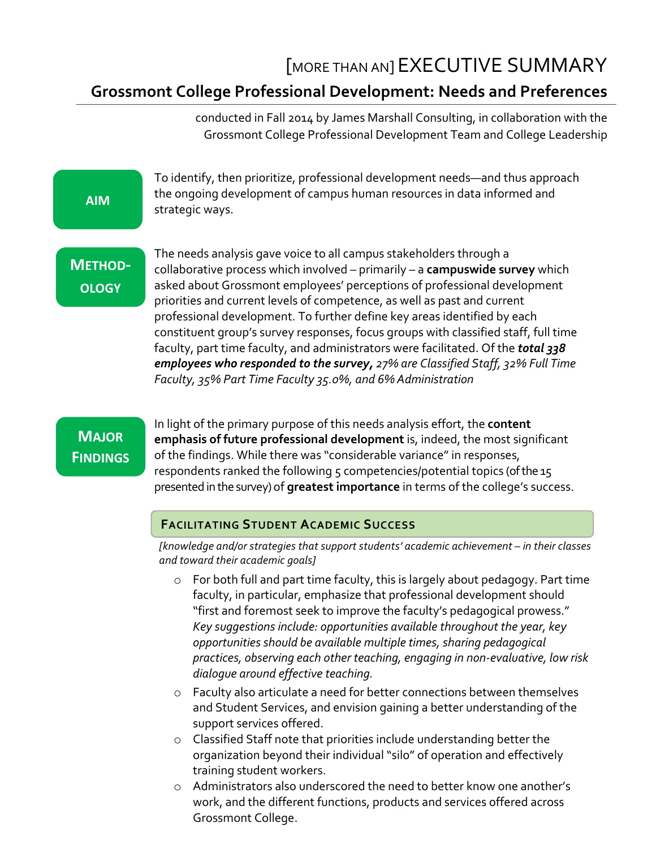# [MORE THAN AN] EXECUTIVE SUMMARY **Grossmont College Professional Development: Needs and Preferences**

conducted in Fall 2014 by James Marshall Consulting, in collaboration with the Grossmont College Professional Development Team and College Leadership

## **AIM**

To identify, then prioritize, professional development needs—and thus approach the ongoing development of campus human resources in data informed and strategic ways.

# **METHOD-OLOGY**

The needs analysis gave voice to all campus stakeholders through a collaborative process which involved – primarily – a **campuswide survey** which asked about Grossmont employees' perceptions of professional development priorities and current levels of competence, as well as past and current professional development. To further define key areas identified by each constituent group's survey responses, focus groups with classified staff, full time faculty, part time faculty, and administrators were facilitated. Of the **total 338** *employees who responded to the survey, 27% are Classified Staff, 32% Full Time Faculty, 35% Part Time Faculty 35.0%, and 6% Administration* 

# **MAJOR FINDINGS**

In light of the primary purpose of this needs analysis effort, the content **emphasis of future professional development** is, indeed, the most significant of the findings. While there was "considerable variance" in responses, respondents ranked the following  $5$  competencies/potential topics (of the  $15$ presented in the survey) of **greatest importance** in terms of the college's success.

# **FACILITATING STUDENT ACADEMIC SUCCESS**

*[knowledge and/or strategies that support students' academic achievement – in their classes and toward their academic goals]*

- $\circ$  For both full and part time faculty, this is largely about pedagogy. Part time faculty, in particular, emphasize that professional development should "first and foremost seek to improve the faculty's pedagogical prowess." *Key* suggestions include: opportunities available throughout the year, key *opportunities* should be available multiple times, sharing pedagogical practices, observing each other teaching, engaging in non-evaluative, low risk *dialogue around effective teaching.*
- $\circ$  Faculty also articulate a need for better connections between themselves and Student Services, and envision gaining a better understanding of the support services offered.
- $\circ$  Classified Staff note that priorities include understanding better the organization beyond their individual "silo" of operation and effectively training student workers.
- $\circ$  Administrators also underscored the need to better know one another's work, and the different functions, products and services offered across Grossmont College.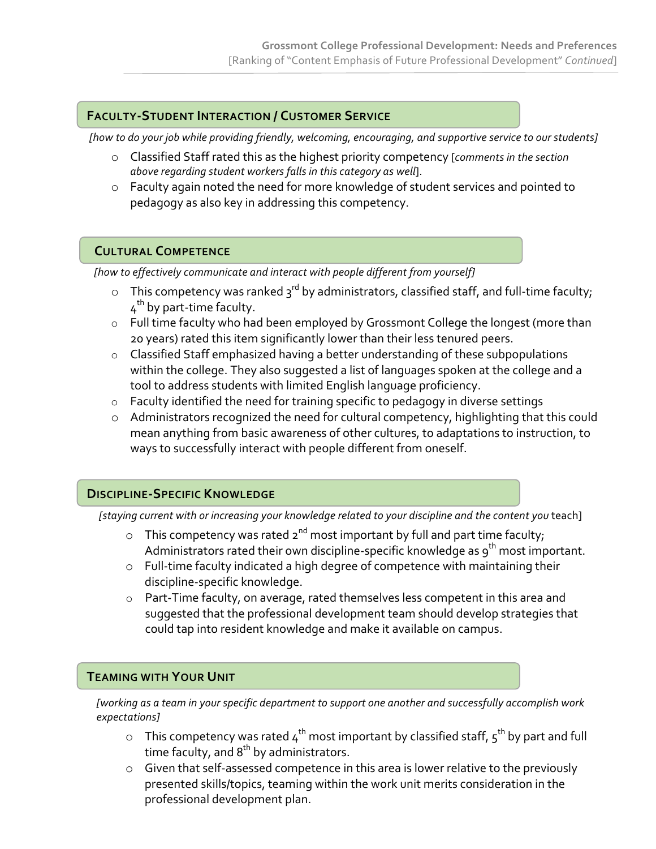### **FACULTY-STUDENT INTERACTION / CUSTOMER SERVICE**

[how to do your job while providing friendly, welcoming, encouraging, and supportive service to our students]

- o Classified Staff rated this as the highest priority competency [*comments in the section* above regarding student workers falls in this category as well].
- $\circ$  Faculty again noted the need for more knowledge of student services and pointed to pedagogy as also key in addressing this competency.

#### **CULTURAL COMPETENCE**

[how to effectively communicate and interact with people different from yourself]

- $\circ$  This competency was ranked  $3^{rd}$  by administrators, classified staff, and full-time faculty;  $4<sup>th</sup>$  by part-time faculty.
- $\circ$  Full time faculty who had been employed by Grossmont College the longest (more than 20 years) rated this item significantly lower than their less tenured peers.
- $\circ$  Classified Staff emphasized having a better understanding of these subpopulations within the college. They also suggested a list of languages spoken at the college and a tool to address students with limited English language proficiency.
- $\circ$  Faculty identified the need for training specific to pedagogy in diverse settings
- $\circ$  Administrators recognized the need for cultural competency, highlighting that this could mean anything from basic awareness of other cultures, to adaptations to instruction, to ways to successfully interact with people different from oneself.

#### **DISCIPLINE-SPECIFIC KNOWLEDGE**

[staying current with or increasing your knowledge related to your discipline and the content you teach]

- o This competency was rated  $2^{nd}$  most important by full and part time faculty; Administrators rated their own discipline-specific knowledge as  $9^{th}$  most important.
- $\circ$  Full-time faculty indicated a high degree of competence with maintaining their discipline-specific knowledge.
- $\circ$  Part-Time faculty, on average, rated themselves less competent in this area and suggested that the professional development team should develop strategies that could tap into resident knowledge and make it available on campus.

#### **TEAMING WITH YOUR UNIT**

[working as a team in your specific department to support one another and successfully accomplish work *expectations]*

- $\circ$  This competency was rated  $4^{th}$  most important by classified staff,  $5^{th}$  by part and full time faculty, and  $8^{\text{th}}$  by administrators.
- $\circ$  Given that self-assessed competence in this area is lower relative to the previously presented skills/topics, teaming within the work unit merits consideration in the professional development plan.